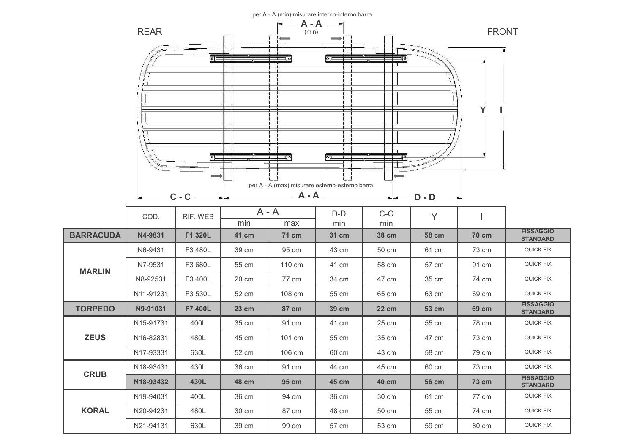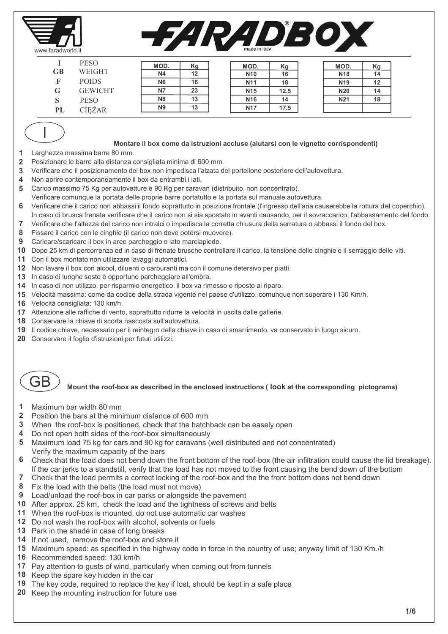

|    | <b>PESO</b>    | MOD.           | Kg | MOD.       | Κg   | MOD.            | Kg |
|----|----------------|----------------|----|------------|------|-----------------|----|
| GB | WEIGHT         | <b>N4</b>      | 12 | <b>N10</b> | 16   | <b>N18</b>      | 14 |
|    | <b>POIDS</b>   | N <sub>6</sub> | 16 | <b>N11</b> | 18   | N <sub>19</sub> | 12 |
| G  | <b>GEWICHT</b> | <b>N7</b>      | 23 | <b>N15</b> | 12.5 | <b>N20</b>      | 14 |
| Ø  | <b>PESO</b>    | N <sub>8</sub> | 13 | <b>N16</b> | 14   | <b>N21</b>      | 18 |
| PL |                | N <sub>9</sub> | 13 | <b>N17</b> | 17.5 |                 |    |

### **Montare il box come da istruzioni accluse (aiutarsi con le vignette corrispondenti)**

**1** Larghezza massima barre 80 mm.

I

- **2** Posizionare le barre alla distanza consigliata minima di 600 mm.
- **3** Verificare che il posizionamento del box non impedisca l'alzata del portellone posteriore dell'autovettura.
- **4** Non aprire contemporaneamente il box da entrambi i lati.
- **5** Carico massimo 75 Kg per autovetture e 90 Kg per caravan (distribuito, non concentrato).
- Verificare comunque la portata delle proprie barre portatutto e la portata sul manuale autovettura.
- **6** Verificare che il carico non abbassi il fondo soprattutto in posizione frontale (l'ingresso dell'aria causerebbe la rottura del coperchio). In caso di brusca frenata verificare che il carico non si sia spostato in avanti causando, per il sovraccarico, l'abbassamento del fondo.
- **7** Verificare che l'altezza del carico non intralci o impedisca la corretta chiusura della serratura o abbassi il fondo del box.
- **8** Fissare il carico con le cinghie (il carico non deve potersi muovere).
- **9** Caricare/scaricare il box in aree parcheggio o lato marciapiede.
- **10** Dopo 25 km di percorrenza ed in caso di frenate brusche controllare il carico, la tensione delle cinghie e il serraggio delle viti.
- **11** Con il box montato non utilizzare lavaggi automatici.
- **12** Non lavare il box con alcool, diluenti o carburanti ma con il comune detersivo per piatti.
- **13** In caso di lunghe soste è opportuno parcheggiare all'ombra.
- **14** In caso di non utilizzo, per risparmio energetico, il box va rimosso e riposto al riparo.
- **15** Velocità massima: come da codice della strada vigente nel paese d'utilizzo, comunque non superare i 130 Km/h.
- **16** Velocità consigliata: 130 km/h.
- **17** Attenzione alle raffiche di vento, soprattutto ridurre la velocità in uscita dalle gallerie.
- **18** Conservare la chiave di scorta nascosta sull'autovettura.
- **19** Il codice chiave, necessario per il reintegro della chiave in caso di smarrimento, va conservato in luogo sicuro.
- **20** Conservare il foglio d'istruzioni per futuri utilizzi.



**Mount the roof-box as described in the enclosed instructions ( look at the corresponding pictograms)**

- **1** Maximum bar width 80 mm
- **2** Position the bars at the minimum distance of 600 mm
- **3** When the roof-box is positioned, check that the hatchback can be easely open
- **4** Do not open both sides of the roof-box simultaneously
- **5** Maximum load 75 kg for cars and 90 kg for caravans (well distributed and not concentrated) Verify the maximum capacity of the bars
- **6** Check that the load does not bend down the front bottom of the roof-box (the air infiltration could cause the lid breakage). If the car jerks to a standstill, verify that the load has not moved to the front causing the bend down of the bottom
- **7** Check that the load permits a correct locking of the roof-box and the the front bottom does not bend down
- **8** Fix the load with the belts (the load must not move)
- **9** Load/unload the roof-box in car parks or alongside the pavement
- **10** After approx. 25 km, check the load and the tightness of screws and belts
- **11** When the roof-box is mounted, do not use automatic car washes
- **12** Do not wash the roof-box with alcohol, solvents or fuels
- **13** Park in the shade in case of long breaks
- **14** If not used, remove the roof-box and store it
- **15** Maximum speed: as specified in the highway code in force in the country of use; anyway limit of 130 Km./h
- **16** Recommended speed: 130 km/h
- **17** Pay attention to gusts of wind, particularly when coming out from tunnels
- **18** Keep the spare key hidden in the car
- **19** The key code, required to replace the key if lost, should be kept in a safe place
- **20** Keep the mounting instruction for future use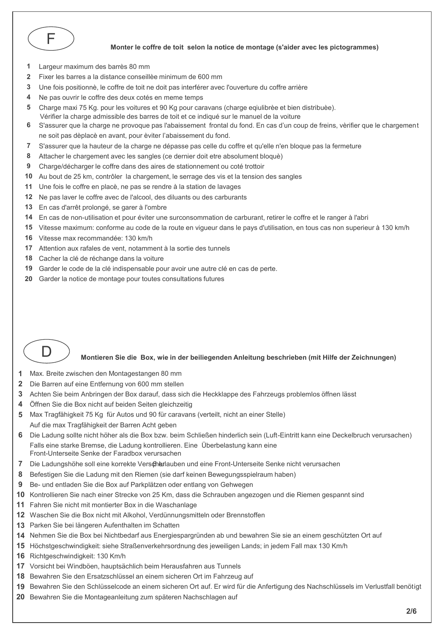

#### **Monter le coffre de toit selon la notice de montage (s'aider avec les pictogrammes)**

- Largeur maximum des barrès 80 mm
- Fixer les barres a la distance conseillèe minimum de 600 mm
- Une fois positionnè, le coffre de toit ne doit pas interférer avec l'ouverture du coffre arrière
- Ne pas ouvrir le coffre des deux cotés en meme temps
- Charge maxi 75 Kg. pour les voitures et 90 Kg pour caravans (charge eqiulibrèe et bien distribuèe). Vérifier la charge admissible des barres de toit et ce indiqué sur le manuel de la voiture
- S'assurer que la charge ne provoque pas l'abaissement frontal du fond. En cas d'un coup de freins, vèrifier que le chargement ne soit pas dèplacè en avant, pour èviter l'abaissement du fond.
- S'assurer que la hauteur de la charge ne dépasse pas celle du coffre et qu'elle n'en bloque pas la fermeture
- Attacher le chargement avec les sangles (ce dernier doit etre absolument bloquè)
- Charge/décharger le coffre dans des aires de stationnement ou coté trottoir
- Au bout de 25 km, contrôler la chargement, le serrage des vis et la tension des sangles
- Une fois le coffre en placè, ne pas se rendre à la station de lavages
- Ne pas laver le coffre avec de l'alcool, des diluants ou des carburants
- En cas d'arrêt prolongé, se garer à l'ombre
- En cas de non-utilisation et pour éviter une surconsommation de carburant, retirer le coffre et le ranger à l'abri
- Vitesse maximum: conforme au code de la route en vigueur dans le pays d'utilisation, en tous cas non superieur à 130 km/h
- Vitesse max recommandée: 130 km/h
- Attention aux rafales de vent, notamment à la sortie des tunnels
- Cacher la clé de réchange dans la voiture
- Garder le code de la clé indispensable pour avoir une autre clé en cas de perte.
- Garder la notice de montage pour toutes consultations futures



### **Montieren Sie die Box, wie in der beiliegenden Anleitung beschrieben (mit Hilfe der Zeichnungen)**

- Max. Breite zwischen den Montagestangen 80 mm
- Die Barren auf eine Entfernung von 600 mm stellen
- Achten Sie beim Anbringen der Box darauf, dass sich die Heckklappe des Fahrzeugs problemlos öffnen lässt
- Öffnen Sie die Box nicht auf beiden Seiten gleichzeitig
- Max Tragfähigkeit 75 Kg für Autos und 90 für caravans (verteilt, nicht an einer Stelle) Auf die max Tragfähigkeit der Barren Acht geben
- Die Ladung sollte nicht höher als die Box bzw. beim Schließen hinderlich sein (Luft-Eintritt kann eine Deckelbruch verursachen) Falls eine starke Bremse, die Ladung kontrollieren. Eine Überbelastung kann eine Front-Unterseite Senke der Faradbox verursachen
- Die Ladungshöhe soll eine korrekte Verschlauben und eine Front-Unterseite Senke nicht verursachen
- Befestigen Sie die Ladung mit den Riemen (sie darf keinen Bewegungsspielraum haben)
- Be- und entladen Sie die Box auf Parkplätzen oder entlang von Gehwegen
- Kontrollieren Sie nach einer Strecke von 25 Km, dass die Schrauben angezogen und die Riemen gespannt sind
- Fahren Sie nicht mit montierter Box in die Waschanlage
- Waschen Sie die Box nicht mit Alkohol, Verdünnungsmitteln oder Brennstoffen
- Parken Sie bei längeren Aufenthalten im Schatten
- Nehmen Sie die Box bei Nichtbedarf aus Energiespargründen ab und bewahren Sie sie an einem geschützten Ort auf
- Höchstgeschwindigkeit: siehe Straßenverkehrsordnung des jeweiligen Lands; in jedem Fall max 130 Km/h
- Richtgeschwindigkeit: 130 Km/h
- Vorsicht bei Windböen, hauptsächlich beim Herausfahren aus Tunnels
- Bewahren Sie den Ersatzschlüssel an einem sicheren Ort im Fahrzeug auf
- Bewahren Sie den Schlüsselcode an einem sicheren Ort auf. Er wird für die Anfertigung des Nachschlüssels im Verlustfall benötigt
- Bewahren Sie die Montageanleitung zum späteren Nachschlagen auf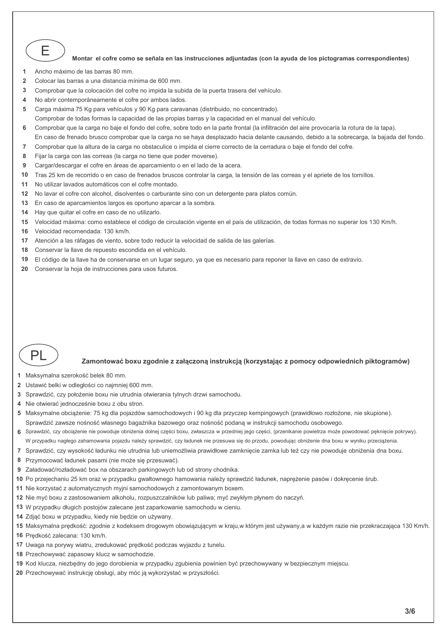

**Montar el cofre como se señala en las instrucciones adjuntadas (con la ayuda de los pictogramas correspondientes)**

- Ancho máximo de las barras 80 mm.
- Colocar las barras a una distancia mínima de 600 mm.
- Comprobar que la colocación del cofre no impida la subida de la puerta trasera del vehículo.
- No abrir contemporáneamente el cofre por ambos lados.
- Carga máxima 75 Kg para vehículos y 90 Kg para caravanas (distribuido, no concentrado). Comprobar de todas formas la capacidad de las propias barras y la capacidad en el manual del vehículo.
- Comprobar que la carga no baje el fondo del cofre, sobre todo en la parte frontal (la infiltración del aire provocaría la rotura de la tapa). En caso de frenado brusco comprobar que la carga no se haya desplazado hacia delante causando, debido a la sobrecarga, la bajada del fondo.
- Comprobar que la altura de la carga no obstaculice o impida el cierre correcto de la cerradura o baje el fondo del cofre.
- Fijar la carga con las correas (la carga no tiene que poder moverse).
- Cargar/descargar el cofre en áreas de aparcamiento o en el lado de la acera.
- Tras 25 km de recorrido o en caso de frenados bruscos controlar la carga, la tensión de las correas y el apriete de los tornillos.
- No utilizar lavados automáticos con el cofre montado.
- No lavar el cofre con alcohol, disolventes o carburante sino con un detergente para platos común.
- En caso de aparcamientos largos es oportuno aparcar a la sombra.
- Hay que quitar el cofre en caso de no utilizarlo.
- Velocidad máxima: como establece el código de circulación vigente en el país de utilización, de todas formas no superar los 130 Km/h.
- Velocidad recomendada: 130 km/h.
- Atención a las ráfagas de viento, sobre todo reducir la velocidad de salida de las galerías.
- Conservar la llave de repuesto escondida en el vehículo.
- El código de la llave ha de conservarse en un lugar seguro, ya que es necesario para reponer la llave en caso de extravío.
- Conservar la hoja de instrucciones para usos futuros.



#### **Zamontować boxu zgodnie z załączoną instrukcją (korzystając z pomocy odpowiednich piktogramów)**

- Maksymalna szerokość belek 80 mm.
- Ustawić belki w odległości co najmniej 600 mm.
- Sprawdzić, czy położenie boxu nie utrudnia otwierania tylnych drzwi samochodu.
- Nie otwierać jednocześnie boxu z obu stron.
- Maksymalne obciążenie: 75 kg dla pojazdów samochodowych i 90 kg dla przyczep kempingowych (prawidłowo rozłożone, nie skupione). Sprawdzić zawsze nośność własnego bagażnika bazowego oraz nośność podaną w instrukcji samochodu osobowego.
- Sprawdzić, czy obciążenie nie powoduje obniżenia dolnej części boxu, zwłaszcza w przedniej jego części, (przenikanie powietrza może powodować pęknięcie pokrywy). W przypadku nagłego zahamowania pojazdu należy sprawdzić, czy ładunek nie przesuwa się do przodu, powodując obniżenie dna boxu w wyniku przeciążenia.
- 
- Sprawdzić, czy wysokość ładunku nie utrudnia lub uniemożliwia prawidłowe zamknięcie zamka lub też czy nie powoduje obniżenia dna boxu.
- Przymocować ładunek pasami (nie może się przesuwać).
- Załadować/rozładować box na obszarach parkingowych lub od strony chodnika.
- Po przejechaniu 25 km oraz w przypadku gwałtownego hamowania należy sprawdzić ładunek, naprężenie pasów i dokręcenie śrub.
- Nie korzystać z automatycznych myjni samochodowych z zamontowanym boxem.
- Nie myć boxu z zastosowaniem alkoholu, rozpuszczalników lub paliwa; myć zwykłym płynem do naczyń.
- W przypadku długich postojów zalecane jest zaparkowanie samochodu w cieniu.
- Zdjąć boxu w przypadku, kiedy nie będzie on używany.
- Maksymalna prędkość: zgodnie z kodeksem drogowym obowiązującym w kraju,w którym jest używany,a w każdym razie nie przekraczająca 130 Km/h.
- Prędkość zalecana: 130 km/h.
- Uwaga na porywy wiatru, zredukować prędkość podczas wyjazdu z tunelu.
- Przechowywać zapasowy klucz w samochodzie.
- Kod klucza, niezbędny do jego dorobienia w przypadku zgubienia powinien być przechowywany w bezpiecznym miejscu.
- Przechowywać instrukcję obsługi, aby móc ją wykorzystać w przyszłości.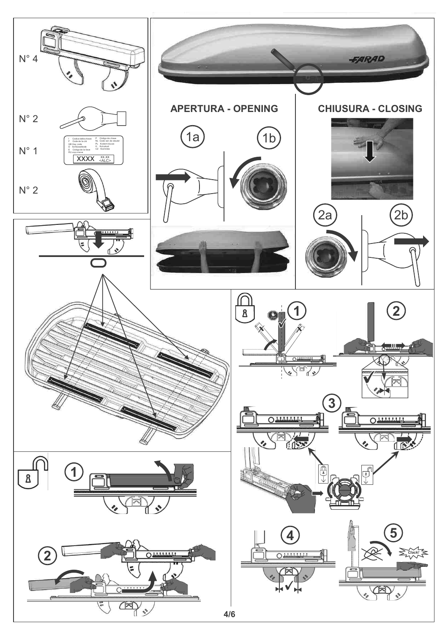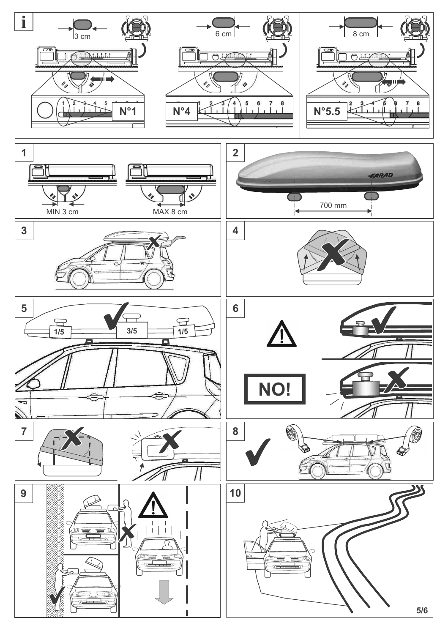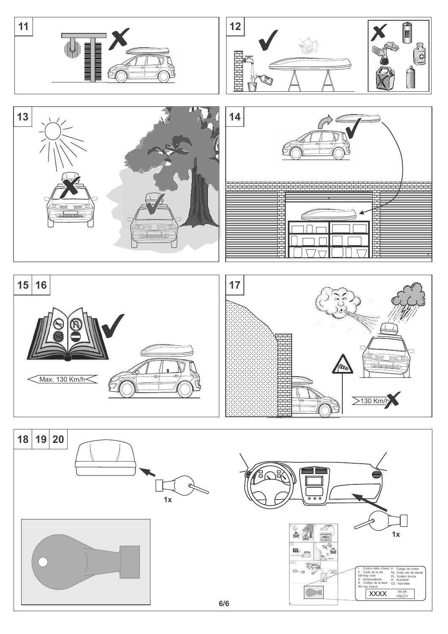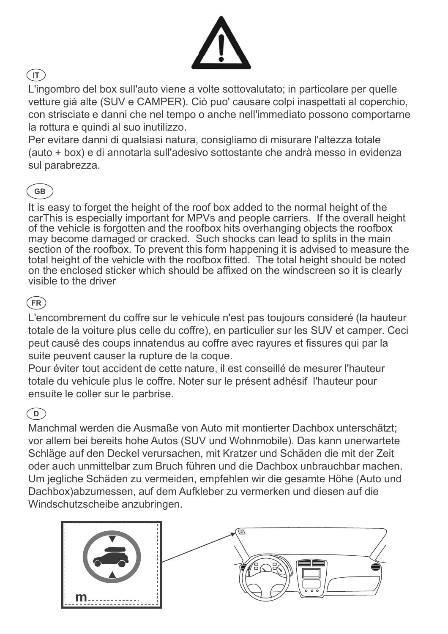

## $(T)$

L'ingombro del box sull'auto viene a volte sottovalutato; in particolare per quelle vetture già alte (SUV e CAMPER). Ciò puo' causare colpi inaspettati al coperchio, con strisciate e danni che nel tempo o anche nell'immediato possono comportarne la rottura e quindi al suo inutilizzo.

Per evitare danni di qualsiasi natura, consigliamo di misurare l'altezza totale (auto + box) e di annotarla sull'adesivo sottostante che andrà messo in evidenza sul parabrezza.

# **GB**

It is easy to forget the height of the roof box added to the normal height of the carThis is especially important for MPVs and people carriers. If the overall height of the vehicle is forgotten and the roofbox hits overhanging objects the roofbox may become damaged or cracked. Such shocks can lead to splits in the main section of the roofbox. To prevent this form happening it is advised to measure the total height of the vehicle with the roofbox fitted. The total height should be noted on the enclosed sticker which should be affixed on the windscreen so it is clearly visible to the driver

## $(FR)$

L'encombrement du coffre sur le vehicule n'est pas toujours consideré (la hauteur totale de la voiture plus celle du coffre), en particulier sur les SUV et camper. Ceci peut causé des coups innatendus au coffre avec rayures et fissures qui par la suite peuvent causer la rupture de la coque.

Pour éviter tout accident de cette nature, il est conseillé de mesurer l'hauteur totale du vehicule plus le coffre. Noter sur le présent adhésif l'hauteur pour ensuite le coller sur le parbrise.

## **D**

Manchmal werden die Ausmaße von Auto mit montierter Dachbox unterschätzt; vor allem bei bereits hohe Autos (SUV und Wohnmobile). Das kann unerwartete Schläge auf den Deckel verursachen, mit Kratzer und Schäden die mit der Zeit oder auch unmittelbar zum Bruch führen und die Dachbox unbrauchbar machen. Um jegliche Schäden zu vermeiden, empfehlen wir die gesamte Höhe (Auto und Dachbox)abzumessen, auf dem Aufkleber zu vermerken und diesen auf die Windschutzscheibe anzubringen.